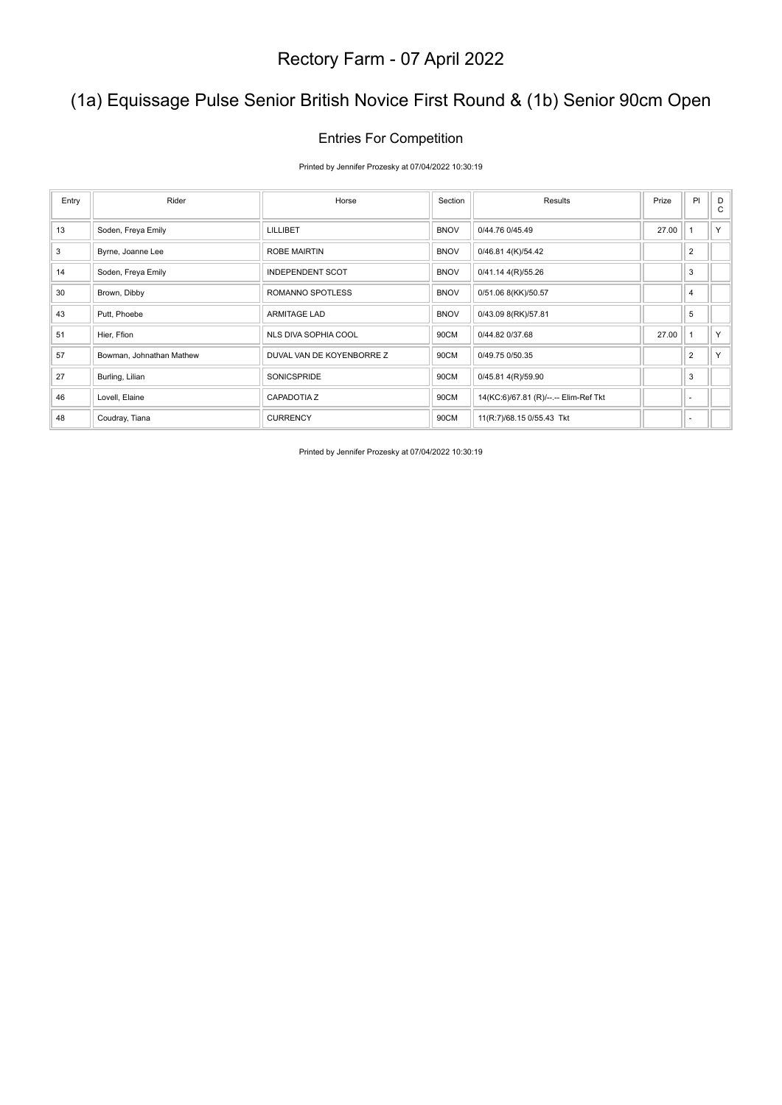## (1a) Equissage Pulse Senior British Novice First Round & (1b) Senior 90cm Open

### Entries For Competition

Printed by Jennifer Prozesky at 07/04/2022 10:30:19

| Entry | Rider                    | Horse                     | Section     | Results                               | Prize | PI             | D<br>C |
|-------|--------------------------|---------------------------|-------------|---------------------------------------|-------|----------------|--------|
| 13    | Soden, Freya Emily       | LILLIBET                  | <b>BNOV</b> | 0/44.76 0/45.49                       | 27.00 |                | Y      |
| 3     | Byrne, Joanne Lee        | <b>ROBE MAIRTIN</b>       | <b>BNOV</b> | 0/46.81 4(K)/54.42                    |       | $\overline{2}$ |        |
| 14    | Soden, Freya Emily       | <b>INDEPENDENT SCOT</b>   | <b>BNOV</b> | 0/41.14 4(R)/55.26                    |       | 3              |        |
| 30    | Brown, Dibby             | ROMANNO SPOTLESS          | <b>BNOV</b> | 0/51.06 8(KK)/50.57                   |       | 4              |        |
| 43    | Putt, Phoebe             | <b>ARMITAGE LAD</b>       | <b>BNOV</b> | 0/43.09 8(RK)/57.81                   |       | 5              |        |
| 51    | Hier, Ffion              | NLS DIVA SOPHIA COOL      | 90CM        | 0/44.82 0/37.68                       | 27.00 |                | Y      |
| 57    | Bowman, Johnathan Mathew | DUVAL VAN DE KOYENBORRE Z | 90CM        | 0/49.75 0/50.35                       |       | $\overline{2}$ | Y.     |
| 27    | Burling, Lilian          | <b>SONICSPRIDE</b>        | 90CM        | 0/45.81 4(R)/59.90                    |       | 3              |        |
| 46    | Lovell, Elaine           | <b>CAPADOTIA Z</b>        | 90CM        | 14(KC:6)/67.81 (R)/--.-- Elim-Ref Tkt |       | ٠              |        |
| 48    | Coudray, Tiana           | <b>CURRENCY</b>           | 90CM        | 11(R:7)/68.15 0/55.43 Tkt             |       | ۰              |        |

Printed by Jennifer Prozesky at 07/04/2022 10:30:19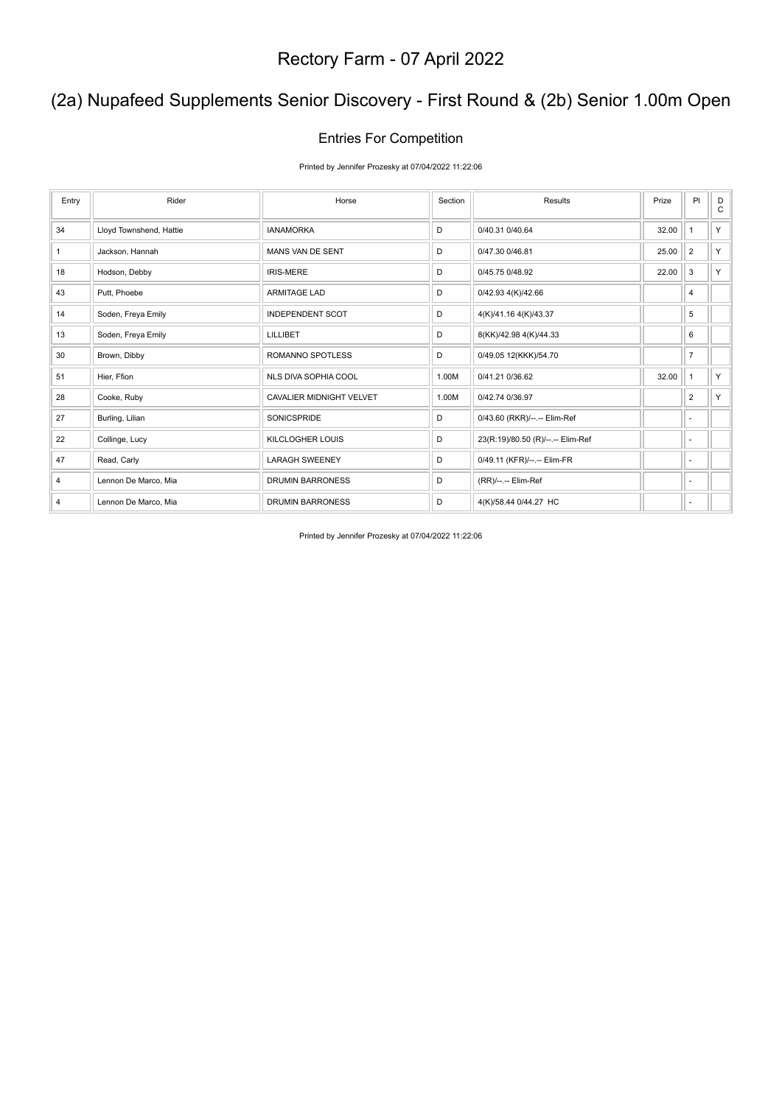## (2a) Nupafeed Supplements Senior Discovery - First Round & (2b) Senior 1.00m Open

#### Entries For Competition

Printed by Jennifer Prozesky at 07/04/2022 11:22:06

| Entry          | Rider                   | Horse                           | Section | Results                           | Prize | PI                       | D<br>C |
|----------------|-------------------------|---------------------------------|---------|-----------------------------------|-------|--------------------------|--------|
| 34             | Lloyd Townshend, Hattie | <b>IANAMORKA</b>                | D       | 0/40.31 0/40.64                   | 32.00 |                          | Y      |
| $\mathbf{1}$   | Jackson, Hannah         | MANS VAN DE SENT                | D       | 0/47.30 0/46.81                   | 25.00 | $\overline{2}$           | Y      |
| 18             | Hodson, Debby           | <b>IRIS-MERE</b>                | D       | 0/45.75 0/48.92                   | 22.00 | 3                        | Y      |
| 43             | Putt, Phoebe            | <b>ARMITAGE LAD</b>             | D       | 0/42.93 4(K)/42.66                |       | 4                        |        |
| 14             | Soden, Freya Emily      | <b>INDEPENDENT SCOT</b>         | D       | 4(K)/41.16 4(K)/43.37             |       | 5                        |        |
| 13             | Soden, Freya Emily      | <b>LILLIBET</b>                 | D       | 8(KK)/42.98 4(K)/44.33            |       | 6                        |        |
| 30             | Brown, Dibby            | ROMANNO SPOTLESS                | D       | 0/49.05 12(KKK)/54.70             |       | $\overline{7}$           |        |
| 51             | Hier, Ffion             | NLS DIVA SOPHIA COOL            | 1.00M   | 0/41.21 0/36.62                   | 32.00 | 1                        | Y      |
| 28             | Cooke, Ruby             | <b>CAVALIER MIDNIGHT VELVET</b> | 1.00M   | 0/42.74 0/36.97                   |       | $\overline{2}$           | Y      |
| 27             | Burling, Lilian         | <b>SONICSPRIDE</b>              | D       | 0/43.60 (RKR)/--.-- Elim-Ref      |       | $\sim$                   |        |
| 22             | Collinge, Lucy          | <b>KILCLOGHER LOUIS</b>         | D       | 23(R:19)/80.50 (R)/--.-- Elim-Ref |       | ٠                        |        |
| 47             | Read, Carly             | <b>LARAGH SWEENEY</b>           | D       | 0/49.11 (KFR)/--.-- Elim-FR       |       | ٠                        |        |
| $\overline{4}$ | Lennon De Marco, Mia    | <b>DRUMIN BARRONESS</b>         | D       | (RR)/--.-- Elim-Ref               |       | ٠                        |        |
| 4              | Lennon De Marco, Mia    | <b>DRUMIN BARRONESS</b>         | D       | 4(K)/58.44 0/44.27 HC             |       | $\overline{\phantom{a}}$ |        |

Printed by Jennifer Prozesky at 07/04/2022 11:22:06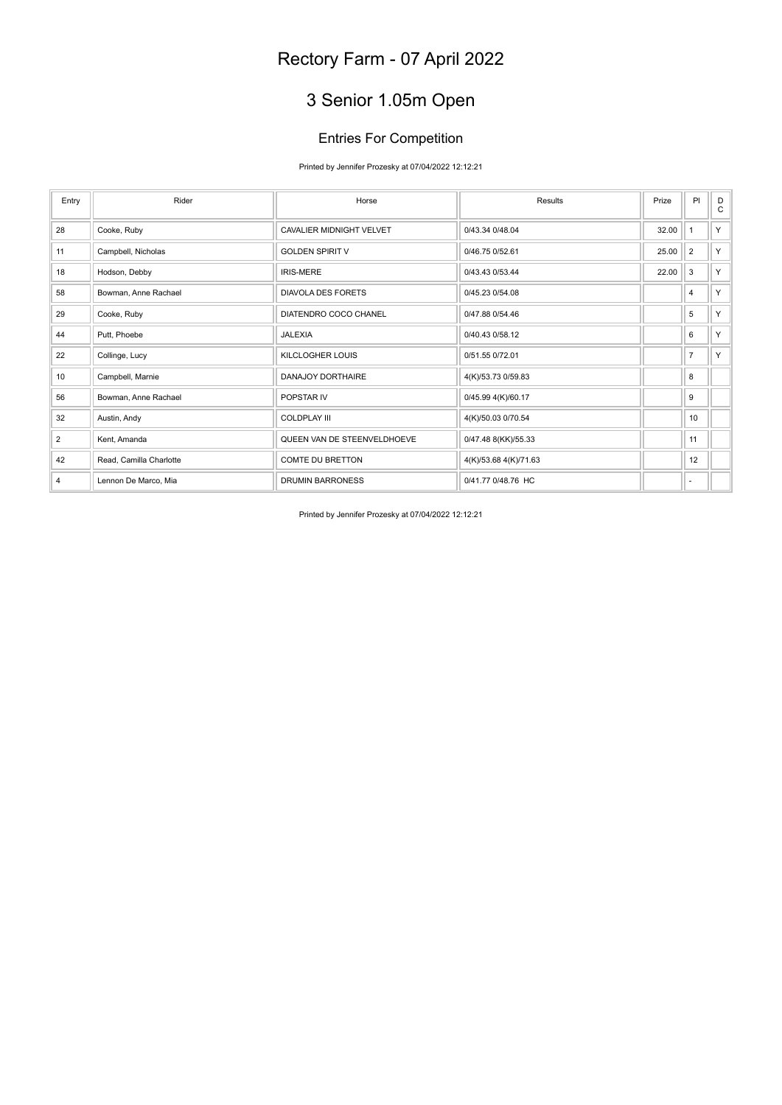## 3 Senior 1.05m Open

### Entries For Competition

Printed by Jennifer Prozesky at 07/04/2022 12:12:21

| Entry          | Rider                   | Horse                           | Results               | Prize | PI             | D<br>$\mathbf C$ |
|----------------|-------------------------|---------------------------------|-----------------------|-------|----------------|------------------|
| 28             | Cooke, Ruby             | <b>CAVALIER MIDNIGHT VELVET</b> | 0/43.34 0/48.04       | 32.00 | $\mathbf{1}$   | Y                |
| 11             | Campbell, Nicholas      | <b>GOLDEN SPIRIT V</b>          | 0/46.75 0/52.61       | 25.00 | $\overline{2}$ | Y.               |
| 18             | Hodson, Debby           | <b>IRIS-MERE</b>                | 0/43.43 0/53.44       | 22.00 | $\mathbf{3}$   | Y                |
| 58             | Bowman, Anne Rachael    | <b>DIAVOLA DES FORETS</b>       | 0/45.23 0/54.08       |       | 4              | Y                |
| 29             | Cooke, Ruby             | DIATENDRO COCO CHANEL           | 0/47.88 0/54.46       |       | 5              | Y                |
| 44             | Putt. Phoebe            | <b>JALEXIA</b>                  | 0/40.43 0/58.12       |       | 6              | Y                |
| 22             | Collinge, Lucy          | <b>KILCLOGHER LOUIS</b>         | 0/51.55 0/72.01       |       | $\overline{7}$ | Y.               |
| 10             | Campbell, Marnie        | DANAJOY DORTHAIRE               | 4(K)/53.73 0/59.83    |       | 8              |                  |
| 56             | Bowman, Anne Rachael    | POPSTAR IV                      | 0/45.99 4(K)/60.17    |       | 9              |                  |
| 32             | Austin, Andy            | <b>COLDPLAY III</b>             | 4(K)/50.03 0/70.54    |       | 10             |                  |
| 2              | Kent, Amanda            | QUEEN VAN DE STEENVELDHOEVE     | 0/47.48 8(KK)/55.33   |       | 11             |                  |
| 42             | Read, Camilla Charlotte | <b>COMTE DU BRETTON</b>         | 4(K)/53.68 4(K)/71.63 |       | 12             |                  |
| $\overline{4}$ | Lennon De Marco, Mia    | <b>DRUMIN BARRONESS</b>         | 0/41.77 0/48.76 HC    |       | ٠              |                  |

Printed by Jennifer Prozesky at 07/04/2022 12:12:21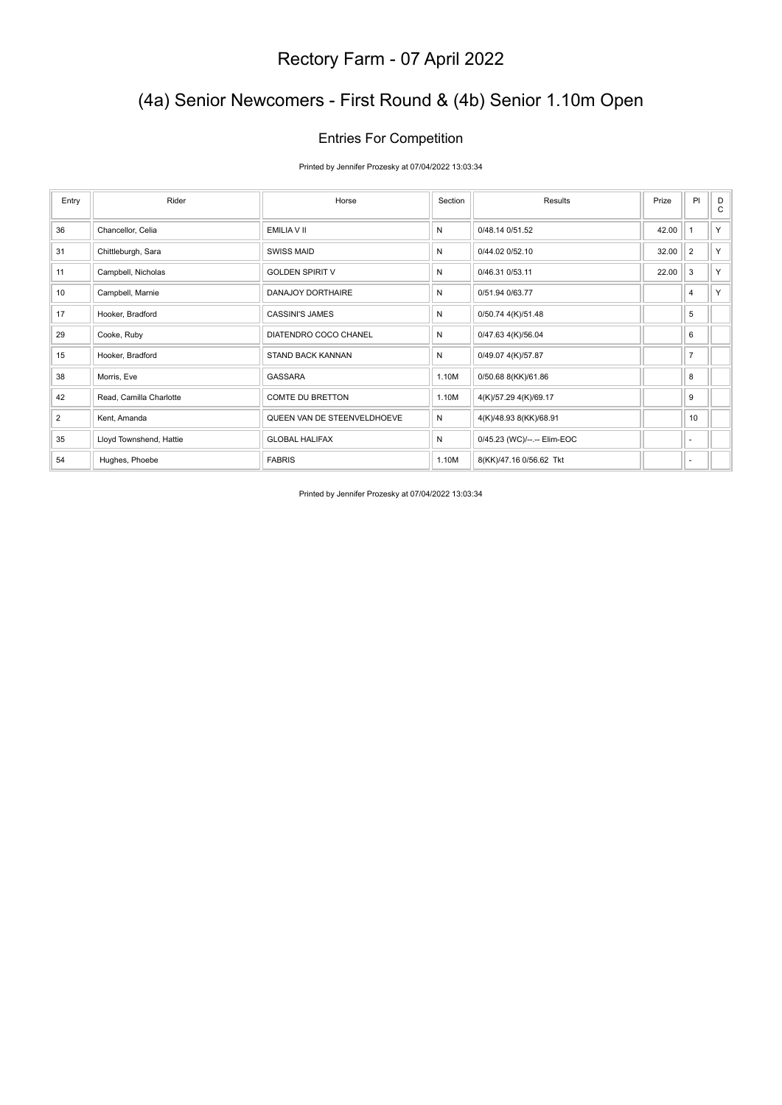## (4a) Senior Newcomers - First Round & (4b) Senior 1.10m Open

### Entries For Competition

Printed by Jennifer Prozesky at 07/04/2022 13:03:34

| Entry | Rider                   | Horse                       | Section | Results                     | Prize | PI             | D<br>C |
|-------|-------------------------|-----------------------------|---------|-----------------------------|-------|----------------|--------|
|       |                         |                             |         |                             |       |                |        |
| 36    | Chancellor, Celia       | EMILIA V II                 | N       | 0/48.14 0/51.52             | 42.00 | 1              | Y.     |
| 31    | Chittleburgh, Sara      | <b>SWISS MAID</b>           | N       | 0/44.02 0/52.10             | 32.00 | $\overline{2}$ | Y.     |
| 11    | Campbell, Nicholas      | <b>GOLDEN SPIRIT V</b>      | N       | 0/46.31 0/53.11             | 22.00 | 3              | Y.     |
| 10    | Campbell, Marnie        | <b>DANAJOY DORTHAIRE</b>    | N       | 0/51.94 0/63.77             |       | $\overline{4}$ | Y.     |
| 17    | Hooker, Bradford        | <b>CASSINI'S JAMES</b>      | N       | 0/50.74 4(K)/51.48          |       | 5              |        |
| 29    | Cooke, Ruby             | DIATENDRO COCO CHANEL       | N       | 0/47.63 4(K)/56.04          |       | 6              |        |
| 15    | Hooker, Bradford        | STAND BACK KANNAN           | N       | 0/49.07 4(K)/57.87          |       | $\overline{7}$ |        |
| 38    | Morris, Eve             | GASSARA                     | 1.10M   | 0/50.68 8(KK)/61.86         |       | 8              |        |
| 42    | Read, Camilla Charlotte | <b>COMTE DU BRETTON</b>     | 1.10M   | 4(K)/57.29 4(K)/69.17       |       | 9              |        |
| 2     | Kent, Amanda            | QUEEN VAN DE STEENVELDHOEVE | N       | 4(K)/48.93 8(KK)/68.91      |       | 10             |        |
| 35    | Lloyd Townshend, Hattie | <b>GLOBAL HALIFAX</b>       | N       | 0/45.23 (WC)/--.-- Elim-EOC |       | ٠              |        |
| 54    | Hughes, Phoebe          | <b>FABRIS</b>               | 1.10M   | 8(KK)/47.16 0/56.62 Tkt     |       | ٠              |        |

Printed by Jennifer Prozesky at 07/04/2022 13:03:34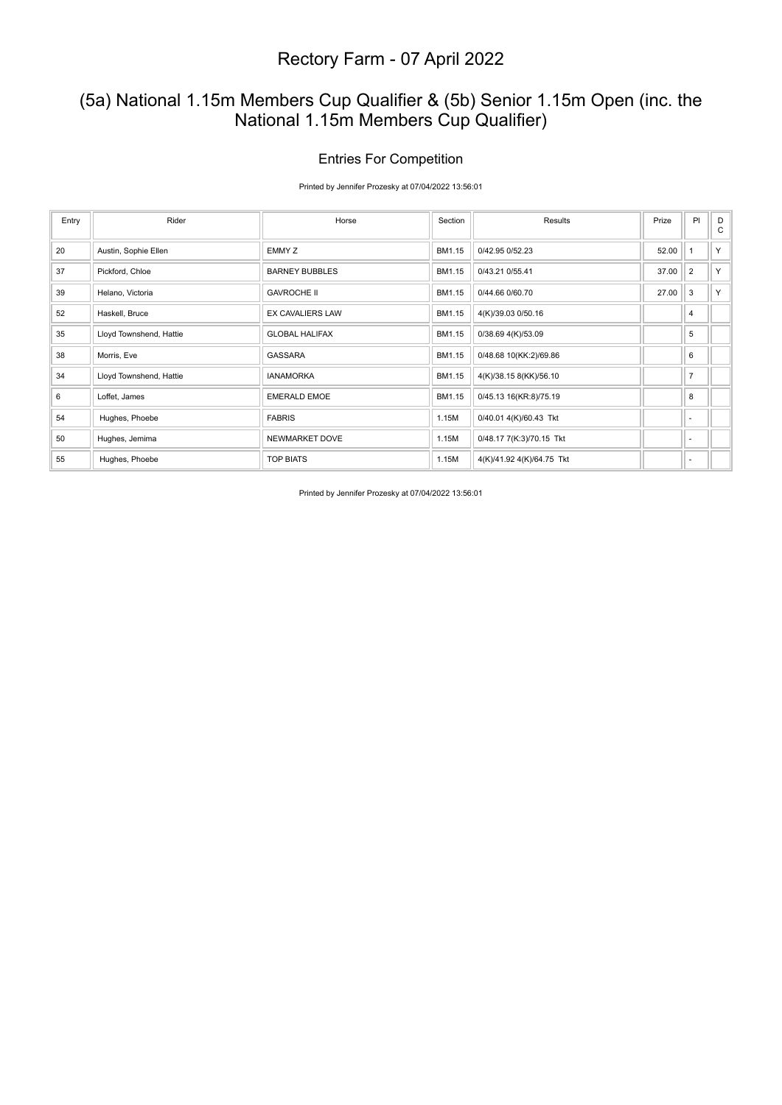### (5a) National 1.15m Members Cup Qualifier & (5b) Senior 1.15m Open (inc. the National 1.15m Members Cup Qualifier)

### Entries For Competition

Printed by Jennifer Prozesky at 07/04/2022 13:56:01

| Entry | Rider                   | Horse                   | Section | Results                   | Prize | PI             | D<br>C |
|-------|-------------------------|-------------------------|---------|---------------------------|-------|----------------|--------|
| 20    | Austin, Sophie Ellen    | EMMY Z                  | BM1.15  | 0/42.95 0/52.23           | 52.00 |                | Y.     |
| 37    | Pickford, Chloe         | <b>BARNEY BUBBLES</b>   | BM1.15  | 0/43.21 0/55.41           | 37.00 | $\overline{2}$ | Y.     |
| 39    | Helano, Victoria        | <b>GAVROCHE II</b>      | BM1.15  | 0/44.66 0/60.70           | 27.00 | 3              | Y.     |
| 52    | Haskell, Bruce          | <b>EX CAVALIERS LAW</b> | BM1.15  | 4(K)/39.03 0/50.16        |       | 4              |        |
| 35    | Lloyd Townshend, Hattie | <b>GLOBAL HALIFAX</b>   | BM1.15  | 0/38.69 4(K)/53.09        |       | 5              |        |
| 38    | Morris, Eve             | <b>GASSARA</b>          | BM1.15  | 0/48.68 10(KK:2)/69.86    |       | 6              |        |
| 34    | Lloyd Townshend, Hattie | <b>IANAMORKA</b>        | BM1.15  | 4(K)/38.15 8(KK)/56.10    |       | $\overline{7}$ |        |
| 6     | Loffet, James           | <b>EMERALD EMOE</b>     | BM1.15  | 0/45.13 16(KR:8)/75.19    |       | 8              |        |
| 54    | Hughes, Phoebe          | <b>FABRIS</b>           | 1.15M   | 0/40.01 4(K)/60.43 Tkt    |       | ٠              |        |
| 50    | Hughes, Jemima          | NEWMARKET DOVE          | 1.15M   | 0/48.17 7(K:3)/70.15 Tkt  |       | ٠              |        |
| 55    | Hughes, Phoebe          | <b>TOP BIATS</b>        | 1.15M   | 4(K)/41.92 4(K)/64.75 Tkt |       | ٠              |        |

Printed by Jennifer Prozesky at 07/04/2022 13:56:01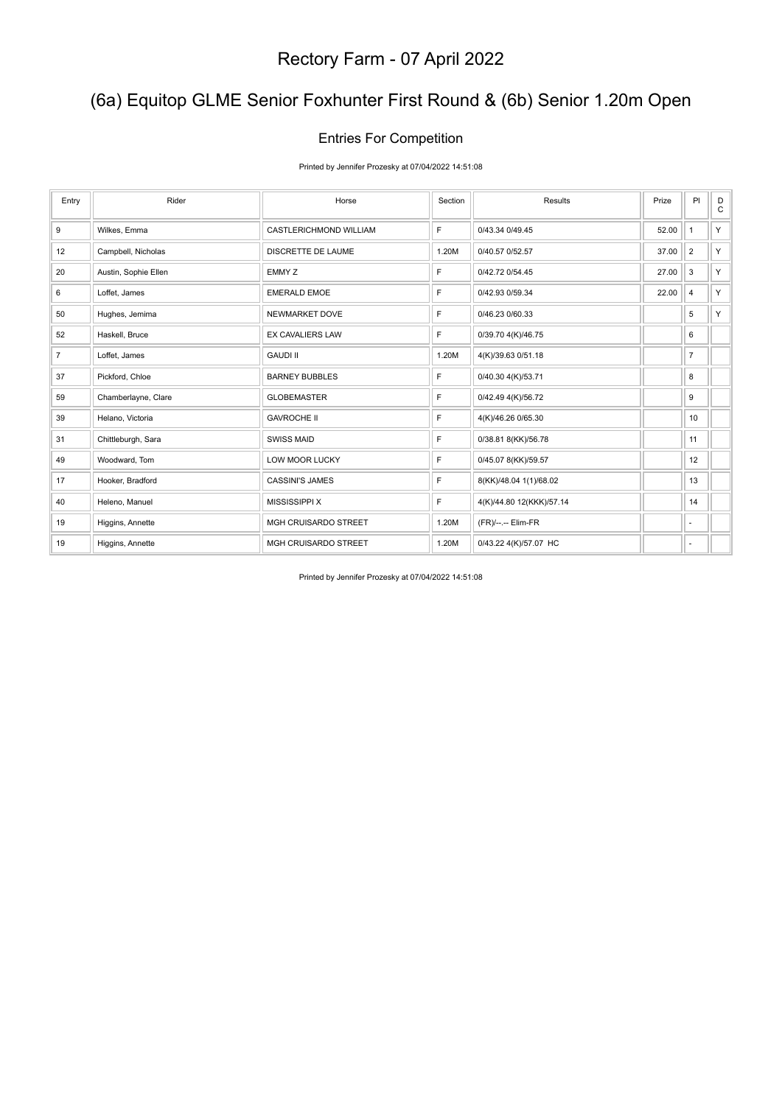## (6a) Equitop GLME Senior Foxhunter First Round & (6b) Senior 1.20m Open

### Entries For Competition

Printed by Jennifer Prozesky at 07/04/2022 14:51:08

| Entry          | Rider                | Horse                       | Section | Results                  | Prize | PI             | D<br>$\mathsf{C}$ |
|----------------|----------------------|-----------------------------|---------|--------------------------|-------|----------------|-------------------|
| 9              | Wilkes, Emma         | CASTLERICHMOND WILLIAM      | F       | 0/43.34 0/49.45          | 52.00 | $\mathbf{1}$   | Y.                |
| 12             | Campbell, Nicholas   | DISCRETTE DE LAUME          | 1.20M   | 0/40.57 0/52.57          | 37.00 | $\overline{2}$ | Y.                |
| 20             | Austin, Sophie Ellen | EMMY Z                      | E       | 0/42.72 0/54.45          | 27.00 | $\mathbf{3}$   | Y.                |
| 6              | Loffet, James        | <b>EMERALD EMOE</b>         | F       | 0/42.93 0/59.34          | 22.00 | 4              | Y.                |
| 50             | Hughes, Jemima       | NEWMARKET DOVE              | F       | 0/46.23 0/60.33          |       | 5              | Y.                |
| 52             | Haskell, Bruce       | <b>EX CAVALIERS LAW</b>     | F       | 0/39.70 4(K)/46.75       |       | 6              |                   |
| $\overline{7}$ | Loffet, James        | <b>GAUDI II</b>             | 1.20M   | 4(K)/39.63 0/51.18       |       | $\overline{7}$ |                   |
| 37             | Pickford, Chloe      | <b>BARNEY BUBBLES</b>       | F       | 0/40.30 4(K)/53.71       |       | 8              |                   |
| 59             | Chamberlayne, Clare  | <b>GLOBEMASTER</b>          | F       | 0/42.49 4(K)/56.72       |       | 9              |                   |
| 39             | Helano, Victoria     | <b>GAVROCHE II</b>          | F       | 4(K)/46.26 0/65.30       |       | 10             |                   |
| 31             | Chittleburgh, Sara   | <b>SWISS MAID</b>           | F       | 0/38.81 8(KK)/56.78      |       | 11             |                   |
| 49             | Woodward, Tom        | <b>LOW MOOR LUCKY</b>       | F       | 0/45.07 8(KK)/59.57      |       | 12             |                   |
| 17             | Hooker, Bradford     | <b>CASSINI'S JAMES</b>      | F       | 8(KK)/48.04 1(1)/68.02   |       | 13             |                   |
| 40             | Heleno, Manuel       | <b>MISSISSIPPI X</b>        | F       | 4(K)/44.80 12(KKK)/57.14 |       | 14             |                   |
| 19             | Higgins, Annette     | MGH CRUISARDO STREET        | 1.20M   | (FR)/--.-- Elim-FR       |       | ٠              |                   |
| 19             | Higgins, Annette     | <b>MGH CRUISARDO STREET</b> | 1.20M   | 0/43.22 4(K)/57.07 HC    |       | ٠              |                   |

Printed by Jennifer Prozesky at 07/04/2022 14:51:08